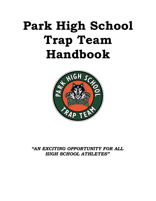# **Park High School Trap Team Handbook**



# *"AN EXCITING OPPORTUNITY FOR ALL HIGH SCHOOL ATHLETES"*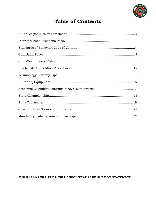

# **Table of Contents**

# **MSHSCTL AND PARK HIGH SCHOOL TRAP CLUB MISSION STATEMENT**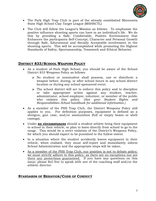

- The Park High Trap Club is part of the already established Minnesota State High School Clay Target League (MSHSCTL)
- The Club will follow the League's Mission as follows: To emphasize the positive influence shooting sports can have in an individual's life. We do this by providing a Safe, Comfortable, Positive Environment that Enhances the participants Self-Concept, Character and Personal Growth through Safe, Educational and Socially Acceptable involvement in the shooting sports. This will be accomplished while promoting the Highest Standards of Safety, Sportsmanship, Teamwork and Ethical Behavior.

# **DISTRICT 833/SCHOOL WEAPONS POLICY**

- As a student of Park High School, you should be aware of the School District 833 Weapons Policy as follows:
	- No student or nonstudent shall possess, use or distribute a weapon before, during, or after school hours in any school district location or during any school sponsored event.
	- $\triangleright$  The school district will act to enforce this policy and to discipline or take appropriate action against any student, teacher, administrator, school employee, volunteer, or member of the public who violates this policy. (*See your Student Rights and Responsibilities School handbook for additional information.)*
- As a member of the PHS Trap Club, the District Weapons Policy still applies to you. For definition purposes, equipment is defined as a shotgun, gun case, and/or ammunition (full or empty boxes or shell casings).
- Under **no circumstances** should a student athlete bring their equipment to school in their vehicle, or plan to leave directly from school to go to the range. This would be a strict violation of the District's Weapons Policy, for which you should expect to be punished to the fullest extent.
- In a situation where the student accidently leaves equipment in their vehicle, when realized, they must self-report and immediately inform School Administration and the appropriate steps will be taken.
- As a member of the PHS Trap Club, our position is not to debate policy; we must strictly adhere to this policy, as there are no exceptions nor are there any protections guaranteed. If you have any questions on this issue, please feel free to speak with one of the coaching staff and/or the athletic director.

# **STANDARDS OF BEHAVIOR/CODE OF CONDUCT**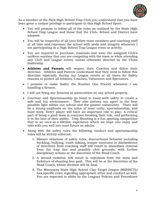

As a member of the Park High School Trap Club you understand that you have been given a unique privilege to participate in this High School Sport.

- You will promise to follow all of the rules as outlined by the State High School Trap League and those that the Club, School and District have adopted.
- You will be respectful of all your fellow team members and coaching staff at all time and represent the school with pride and integrity whenever I am participating in a High School Trap League event or activity.
- You are required to purchase, maintain and wear the assigned Club's uniform anytime that you are competing with the team or while attending any Club and League events unless otherwise directed by the Clubs leadership.
- **Athletes and Parents** will respect their Coaches and follow their direction. Athletes and Parents understand that they need to follow this direction especially during our League events at all times for Safety reasons to protect all Athletes, Coaches, Volunteers and Spectators.
- I promise to make Safety the Number One Priority whenever I am handling a firearm.
- I will not bring any firearms or ammunition on any school property.
- Courtesy and Sportsmanship go hand in hand with safety to create a safe and fun environment. They also portray our sport in the best possible light within our school and the greater community. There will be a strong emphasis on the value of team unity, sportsmanship, and hard work. Every player will have an important role to play. A critical part of being a good team is everyone knowing their role, and performing it to the best of their ability. Trap Shooting is a fun sporting competition that is an once-in-a-lifetime experience which we hope you enjoy and take with you well into your future as adults.
- Along with the safety rules the following conduct and sportsmanship rules will be strictly enforced:
	- 1. Blatant violations of safety rules, discourteous behavior including heckling, bullying, trash talking, temper tantrums or disobedience of directions from coaching staff will result in immediate removal from the trap line and possibly club grounds, with further disciplinary actions at the discretion of the Head Coach.
	- 2. A second violation will result in expulsion from the team and forfeiture of shooting fees paid. This will be at the discretion of the Head Coach, whose decision will be final.
	- 3. The Minnesota State High School Clay Target League (MSHSCTL) has specific rules regarding appropriate attire and conduct as well. You are expected to abide by the Leagues Policies and Procedures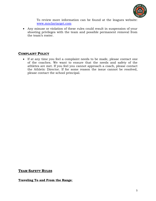

To review more information can be found at the leagues website: [www.mnclaytarget.](http://www.mnclaytarget/)com

• Any misuse or violation of these rules could result in suspension of your shooting privileges with the team and possible permanent removal from the team's roster.

# **COMPLAINT POLICY**

• If at any time you feel a complaint needs to be made, please contact one of the coaches. We want to ensure that the needs and safety of the athletes are met. If you feel you cannot approach a coach, please contact the Athletic Director. If for some reason the issue cannot be resolved, please contact the school principal.

# **TEAM SAFETY RULES**

# **Traveling To and From the Range**: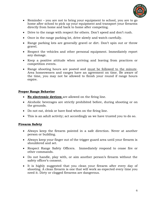

- Reminder you are not to bring your equipment to school, you are to go home after school to pick up your equipment and transport your firearms directly from home and back to home after competing.
- Drive to the range with respect for others. Don't speed and don't rush.
- Once in the range parking lot, drive slowly and watch carefully.
- Range parking lots are generally gravel or dirt. Don't spin out or throw gravel.
- Respect the vehicles and other personal equipment. Immediately report any damage.
- Keep a positive attitude when arriving and leaving from practices or competition events.
- Range shooting hours are posted and must be followed to the minute. Area homeowners and ranges have an agreement on time. Be aware of the time, you may not be allowed to finish your round if range hours expire.

# **Proper Range Behavior**

- **No electronic devices** are allowed on the firing line.
- Alcoholic beverages are strictly prohibited before, during shooting or on the grounds.
- Do not eat, drink or have food when on the firing line.
- This is an adult activity; act accordingly as we have trusted you to do so.

# **Firearm Safety**

- Always keep the firearm pointed in a safe direction. Never at another person or building.
- Always keep your finger out of the trigger guard area until your firearm is shouldered and set.
- Respect Range Safety Officers. Immediately respond to cease fire or other commands.
- Do not handle, play with, or aim another person's firearm without the safety officer's consent.
- It is highly suggested that you clean your firearm after every day of shooting. A clean firearm is one that will work as expected every time you need it. Dirty or clogged firearms are dangerous.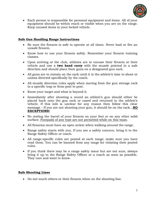

• Each person is responsible for personal equipment and items. All of your equipment should be within reach or visible when you are on the range. Keep unused items in your locked vehicle.

# **Safe Gun Handling Range Instructions**

- Be sure the firearm is safe to operate at all times. Never load or fire an unsafe firearm.
- Know how to use your firearm safely. Remember your firearm training classes.
- Upon arriving at the club, athletes are to uncase their firearm at their vehicle and use a **two hand carry** with the muzzle pointed in a safe direction and should place their guns on a designated gun rack.
- All guns are to remain on the rack until it is the athlete's time to shoot or unless directed specifically by the coach.
- All muzzle direction rules apply when moving from the gun storage rack to a specific trap or from post to post.
- Know your target and what is beyond it.
- Immediately after shooting a round an athlete's gun should either be placed back onto the gun rack or cased and returned to the athlete's vehicle. If this info is unclear for any reason then follow this clear message – If you are not shooting your gun, it should be on the rack…**NO EXCEPTIONS!**
- No resting the barrel of your firearm on your foot or on any other solid surface. Footpads of any type are not permitted while on this team.
- All firearms must have an open action when walking around the range.
- Range safety starts with you. If you see a safety concern, bring it to the Range Safety Officer or coach.
- All range-specific rules are posted at each range; make sure you have read them. You can be banned from any range for violating their posted rules.
- If you think there may be a range safety issue but are not sure, always bring it up to the Range Safety Officer or a coach as soon as possible. They care and want to know.

# **Safe Shooting Lines**

• Do not touch others or their firearm when on the shooting line.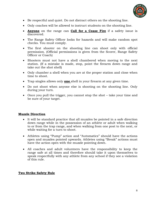

- Be respectful and quiet. Do not distract others on the shooting line.
- Only coaches will be allowed to instruct students on the shooting line.
- **Anyone** on the range can **Call for a Cease Fire** if a safety issue is discovered.
- The Range Safety Officer looks for hazards and will make random spot checks. You must comply.
- The first shooter on the shooting line can shoot only with official permission. (Official permissions is given from the Scorer, Range Safety Officer or Coach)
- Shooters must not have a shell chambered when moving to the next station. (If a mistake is made, stop, point the firearm down range and take out the shot shell)
- Only chamber a shell when you are at the proper station and close when time to shoot.
- Trap singles allows only **one** shell in your firearm at any given time.
- Do not shoot when anyone else is shooting on the shooting line. Only during your turn.
- Once you pull the trigger, you cannot stop the shot take your time and be sure of your target.

# **Muzzle Direction**

- It will be standard practice that all muzzles be pointed in a safe direction down range while in the possession of an athlete or adult when walking to or from the trap range, and when walking from one post to the next, or while waiting for a turn to shoot.
- Athletes using "Pump" action and "Automatics" should have the actions open and muzzles pointed upwards. Athletes using "Break" actions must have the action open with the muzzle pointing down.
- All coaches and adult volunteers have the responsibility to keep the range safe at all times and therefore should take it upon themselves to speak respectfully with any athlete from any school if they see a violation of this rule.

# **Two Strike Safety Rule**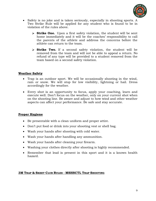

- Safety is no joke and is taken seriously, especially in shooting sports. A Two Strike Rule will be applied for any student who is found to be in violation of the rules above.
	- **Strike One.** Upon a first safety violation, the student will be sent home immediately and it will be the coaches' responsibility to call the parents of the athlete and address the concerns before the athlete can return to the team.
	- **Strike Two.** If a second safety violation, the student will be removed from the team and will not be able to appeal a return. No refund of any type will be provided to a student removed from the team based on a second safety violation.

# **Weather Safety**

- Trap is an outdoor sport. We will be occasionally shooting in the wind, rain or snow. We will stop for low visibility, lightning or hail. Dress accordingly for the weather.
- Every shot is an opportunity to focus, apply your coaching, learn and execute well. Don't focus on the weather, only on your current shot when on the shooting line. Be aware and adjust to how wind and other weather aspects can affect your performance. Be safe and stay accurate.

# **Proper Hygiene**

- Be presentable with a clean uniform and proper attire.
- Don't put food or drink into your shooting vest or shell bag.
- Wash your hands after shooting with cold water.
- Wash your hands after handling any ammunition.
- Wash your hands after cleaning your firearm.
- Washing your clothes directly after shooting is highly recommended.
- Remember that lead is present in this sport and it is a known health hazard.

# **3M TRAP & SKEET CLUB RULES - MSHSCTL TRAP SHOOTING**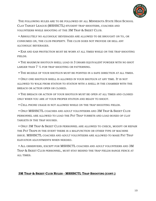

THE FOLLOWING RULES ARE TO BE FOLLOWED BY ALL MINNESOTA STATE HIGH SCHOOL CLAY TARGET LEAGUE (MSHSCTL) STUDENT TRAP SHOOTERS, COACHES AND VOLUNTEERS WHILE SHOOTING AT THE 3M TRAP & SKEET CLUB.

• ABSOLUTELY NO ALCOHOLIC BEVERAGES ARE ALLOWED TO BE BROUGHT ON TO, OR CONSUMED ON, THE CLUB PROPERTY. THE CLUB DOES NOT PROVIDE OR SELL ANY ALCOHOLIC BEVERAGES.

• EAR AND EAR PROTECTION MUST BE WORN AT ALL TIMES WHILE ON THE TRAP SHOOTING FIELDS.

• THE MAXIMUM SHOTGUN SHELL LOAD IS 3 DRAMS EQUIVALENT POWDER WITH NO SHOT LARGER THAN 7 ½ FOR TRAP SHOOTING OR PATTERNING.

• THE MUZZLE OF YOUR SHOTGUN MUST BE POINTED IN A SAFE DIRECTION AT ALL TIMES.

• ONLY ONE SHOTGUN SHELL IS ALLOWED IN YOUR SHOTGUN AT ANY TIME. IT IS NOT ALLOWED TO WALK FROM STATION TO STATION WITH A SHELL IN THE CHAMBER WITH THE BREACH OR ACTION OPEN OR CLOSED.

• THE BREACH OR ACTION OF YOUR SHOTGUN MUST BE OPEN AT ALL TIMES AND CLOSED ONLY WHEN YOU ARE AT YOUR PROPER STATION AND READY TO SHOOT.

• CELL PHONE USAGE IS NOT ALLOWED WHILE ON THE TRAP SHOOTING FIELDS.

• ONLY MSHSCTL COACHES AND ADULT VOLUNTEERS AND 3M TRAP & SKEET CLUB PERSONNEL ARE ALLOWED TO LOAD THE PAT TRAP TURRETS AND LOAD BOXES OF CLAY TARGETS IN THE TRAP HOUSES.

• ONLY 3M TRAP & SKEET CLUB PERSONNEL ARE ALLOWED TO CHECK, MODIFY OR REPAIR THE PAT TRAPS IN THE EVENT THERE IS A MALFUNCTION OR OTHER TYPE OF MACHINE ISSUE. MSHSCTL COACHES AND ADULT VOLUNTEERS ARE ALLOWED TO MAKE PAT TRAP ELEVATION ADJUSTMENTS WHEN NEEDED.

• ALL OBSERVERS, EXCEPT FOR MSHSCTL COACHES AND ADULT VOLUNTEERS AND 3M TRAP & SKEET CLUB PERSONNEL, MUST STAY BEHIND THE TRAP FIELDS RANGE FENCE AT ALL TIMES.

### **3M TRAP & SKEET CLUB RULES - MSHSCTL TRAP SHOOTING (CONT.)**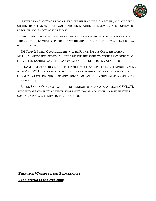

• IF THERE IS A SHOOTING DELAY OR AN INTERRUPTION DURING A ROUND, ALL SHOOTERS ON THE FIRING LINE MUST EXTRACT THEIR SHELLS UNTIL THE DELAY OR INTERRUPTION IS RESOLVED AND SHOOTING IS RESUMED.

• EMPTY HULLS ARE NOT TO BE PICKED UP WHILE ON THE FIRING LINE DURING A ROUND. THE EMPTY HULLS MUST BE PICKED UP AT THE END OF THE ROUND - AFTER ALL GUNS HAVE BEEN CLEARED.

• 3M TRAP & SKEET CLUB MEMBERS WILL BE RANGE SAFETY OFFICERS DURING MSHSCTL SHOOTING SESSIONS. THEY RESERVE THE RIGHT TO DISMISS ANY INDIVIDUAL FROM THE SHOOTING RANGE FOR ANY UNSAFE ACTION(S) OR RULE VIOLATION(S).

• ALL 3M TRAP & SKEET CLUB MEMBER AND RANGE SAFETY OFFICER COMMUNICATIONS WITH MSHSCTL ATHLETES WILL BE COMMUNICATED THROUGH THE COACHING STAFF. COMMUNICATIONS REGARDING SAFETY VIOLATIONS CAN BE COMMUNICATED DIRECTLY TO THE ATHLETES.

• RANGE SAFETY OFFICERS HAVE THE DISCRETION TO DELAY OR CANCEL AN MSHSCTL SHOOTING SESSION IF IT IS DEEMED THAT LIGHTNING OR ANY OTHER UNSAFE WEATHER CONDITION POSES A THREAT TO THE SHOOTERS.

# **PRACTICE/COMPETITION PROCEDURES**

**Upon arrival at the gun club**: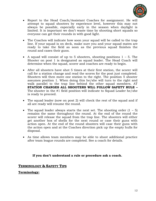

- Report to the Head Coach/Assistant Coaches for assignment. He will attempt to squad shooters by experience level, however this may not always be possible, especially early in the season when daylight is limited. It is important we don't waste time by shooting short squads so everyone can get their rounds in with good light.
- The Coaches will indicate how soon your squad will be called to the trap line. If your squad is on deck, make sure you and your squad mates are ready to take the field as soon as the previous squad finishes the round and cases their guns.
- A squad will consist of up to 5 shooters, shooting positions  $1 5$ . The Shooter on post 1 is designated as squad leader. The Head Coach will determine when the squad, scorer and coaches are ready to begin.
- After all shooters have shot 5 times at their first station, the scorer will call for a station change and read the scores for the post just completed. Shooters will then move one station to the right. The position 5 shooter assumes position 1. When doing this he/she will turn to the right and walk parallel to the trap line behind the other squad members. AT **STATION CHANGES ALL SHOOTERS WILL FOLLOW SAFETY RULE –** The shooter in the #1 field position will indicate to Squad Leader he/she is ready to proceed.
- The squad leader (now on post 2) will check the rest of the squad and if all are ready will resume the round.
- The squad leader always starts the next set. The shooting order  $(1 5)$ remains the same throughout the round. At the end of the round the scorer will release the squad from the trap line. The shooters will either get another box of shells for the next round or case their guns with action open. At the end of the round shooters will case their guns with the action open and at the Coaches direction pick up the empty hulls for disposal.
- As time allows team members may be able to shoot additional practice after team league rounds are completed. See a coach for details.

# **If you don't understand a rule or procedure ask a coach.**

# **TERMINOLOGY & SAFETY TIPS**

# **Terminology:**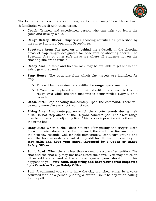

The following terms will be used during practice and competition. Please learn & familiarize yourself with these terms.

- **Coach:** Trained and experienced person who can help you learn the game and develop skills.
- **Range Safety Officer:** Supervises shooting activities as prescribed by the range Standard Operating Procedures.
- **Spectator Area:** The area on or behind the sidewalk in the shooting areas of trap ranges designated for observers of shooting sports. The Spectator Area or other safe areas are where all students not on the shooting line are to remain.
- **Ready Area:** A table and firearm rack may be available to get shells and safety gear prepared.
- **Trap House:** The structure from which clay targets are launched for trap.
	- This will be maintained and refilled be **range operators** only.
	- $\triangleright$  A Cone may be placed on top to signal refill in progress. Back off to ready area while the trap machine is being refilled every 2 or 3 rounds.
- **Cease Fire:** Stop shooting immediately upon the command. There will be many more clays to shoot, so just stop.
- **Firing Line:** A concrete pad on which the shooter stands during their turn. Do not step ahead of the 16 yard concrete pad. The skeet range may be in use at the adjoining field. This is a safe practice with others on the firing line.
- **Hang Fire:** When a shell does not fire after pulling the trigger. Keep firearm pointed down range. Be prepared, the shell may fire anytime in the next few seconds. Call for help immediately. Don't turn around and keep the firearm under control; it may still fire. If this happens to you, **stay calm and have your barrel inspected by a Coach or Range Safety Officer.**
- **Squib Load:** When there is less than normal pressure after ignition. The shot and the shot cup may not have exited the barrel. You may notice an off or odd sound and a lesser recoil against your shoulder. If this happens to you, **stay calm, stop firing and have your barrel inspected by a Coach or Range Safety Officer.**
- **Pull:** A command you say to have the clay launched, either by a voice activated unit or a person pushing a button. Don't be shy when calling for the pull.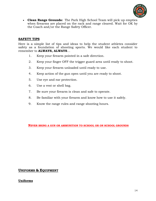

• **Clean Range Grounds:** The Park High School Team will pick up empties when firearms are placed on the rack and range cleared. Wait for OK by the Coach and/or the Range Safety Officer.

# **SAFETY TIPS**

Here is a simple list of tips and ideas to help the student athletes consider safety as a foundation of shooting sports. We would like each student to remember to **ALWAYS, ALWAYS**…

- 1. Keep your firearm pointed in a safe direction.
- 2. Keep your finger OFF the trigger guard area until ready to shoot.
- 3. Keep your firearm unloaded until ready to use.
- 4. Keep action of the gun open until you are ready to shoot.
- 5. Use eye and ear protection.
- 6. Use a vest or shell bag.
- 7. Be sure your firearm is clean and safe to operate.
- 8. Be familiar with your firearm and know how to use it safely.
- 9. Know the range rules and range shooting hours.

**NEVER BRING A GUN OR AMMUNITION TO SCHOOL OR ON SCHOOL GROUNDS**

# **UNIFORMS & EQUIPMENT**

# **Uniforms**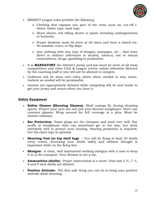

- MSHSCT League rules prohibit the following:
	- Clothing that exposes any part of the torso such as; cut-off tshirts, halter tops, tank tops.
	- Short shorts, low riding shorts or pants revealing undergarments or buttocks.
	- $\triangleright$  Proper footwear must be worn at all times and have a closed toe. No sandals, crocs, or flip flops.
	- Any clothing with any type of designs, messages, etc… that have direct or indirect references to alcohol, tobacco, sex or sexual connotations, drugs, gambling or profanities.
- It is **MANDATORY** the Athlete's jersey and hat must be worn at all team competitions and other Club & League events unless otherwise directed by the coaching staff or you will not be allowed to compete.
- Uniforms will be worn over extra shirts when needed to stay warm. Jackets as needed will be permissible.
- Anyone not appropriately dressed while competing will be sent home to get your jersey and return when you have it.

# **Safety Equipment**

- **Safety Glasses (Shooting Glasses):** Shell casings fly during shooting sports. Protect your eyes but not just your favorite sunglasses. Don't use common glasses. Wrap around for full coverage is a plus. Must be shatter resistant.
- **Ear Protection:** Foam plugs are the cheapest and work very well. Ear muffs or headphone style can sometimes get in the way, but work extremely well to protect your hearing. Hearing protection is required, but the exact type is optional.
- **Shooting Vest (or hip shell bag):** You will be firing at least 25 shells every round. Accessing your shells safely and without thought is important while on the firing line.
- **Shotgun:** A clean, well maintained working shotgun with a case to keep it in or for transport. Your firearm is not a toy,
- **Ammunition (shells):** Proper ammunition is a must. Only size  $2\frac{3}{4}$ ,  $7\frac{1}{2}$ , 8 and 9 shot shells are allowed.
- **Positive Attitude:** The first safe thing you can do is bring your positive attitude while shooting.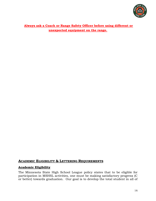

**Always ask a Coach or Range Safety Officer before using different or unexpected equipment on the range.** 

# **ACADEMIC ELIGIBILITY & LETTERING REQUIREMENTS**

# **Academic Eligibility**

The Minnesota State High School League policy states that to be eligible for participation in MSHSL activities, one must be making satisfactory progress (C or better) towards graduation. Our goal is to develop the total student in all of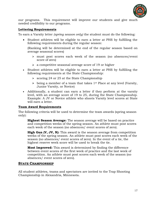

our programs. This requirement will improve our students and give much needed credibility to our programs.

# **Lettering Requirements**

To earn a Varsity letter *(spring season only)* the student must do the following:

• Student athletes will be eligible to earn a letter at PHS by fulfilling the following requirements during the regular season:

(Ranking will be determined at the end of the regular season based on average seasonal scores)

- must post scores each week of the season (no absences/event score of zero)
- a competitive seasonal average score of 19 or higher
- Student athletes will be eligible to earn a letter at PHS by fulfilling the following requirements at the State Championship:
	- $\ge$  scoring 24 or 25 at the State Championship
	- $\triangleright$  being a member of a team that takes 1<sup>st</sup> Place at any level (Varsity, Junior Varsity, or Novice)
- Additionally, a student can earn a letter if they perform at the varsity level, with an average score of 19 to 25, during the State Championship. Example: A JV or Novice athlete who shoots Varsity level scores at State will earn a letter.

### **Team Award Requirements**

The following criteria will be used to determine the team awards (spring season only):

**Highest Season Average:** The season average will be based on practice and competition weeks of the spring season. An athlete must post scores each week of the season (no absences/ event scores of zero).

**High Gun (V, JV, N):** This award is the season average from competition weeks of the spring season. An athlete must post scores each week of the season (no absences/ event scores of zero). In the event of a tie, the highest reserve week score will be used to break the tie.

**Most Improved:** This award is determined by finding the difference between event scores of the first week of practice and the last week of competition. An athlete must post scores each week of the season (no absences/ event scores of zero).

# **STATE CHAMPIONSHIP**

All student athletes, teams and spectators are invited to the Trap Shooting Championship in Alexandria, Minnesota.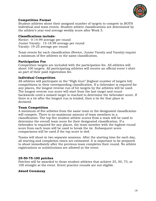

# **Competition Format**

Student athletes shoot their assigned number of targets to compete in BOTH individual and team events. Student athlete classifications are determined by the athlete's year-end average weekly score after Week 5.

## **Classifications include:**

Novice: 0-14.99 average per round Junior Varsity: 15-18.99 average per round Varsity: 19-25 average per round

Team events for each classification (Novice, Junior Varsity and Varsity) require a minimum of five athletes in the same classification.

# **Participation Fee**

Competition targets are included with the participation fee. All athletes will shoot 100 targets. All participating athletes will receive an official event t-shirt as part of their paid registration fee.

# **Individual Competition**

All athletes will participate in the "High Gun" (highest number of targets hit) competitions in their corresponding classification. If a tiebreaker is required for any places, the longest reverse run of hit targets by the athletes will be used. The longest reverse run score will start from the last target and count backwards until a missed target is reached to determine the tiebreaker score. If there is a tie after the longest run is totaled, then a tie for that place is declared.

# **Team Competition**

A minimum of five athletes from the same team in the designated classification will compete. There is no maximum amount of team members in a classification. The top five student athlete scores from a team will be used to determine the overall team score for their designated classification. If a tiebreaker is required for any places, the team member with the highest round score from each team will be used to break the tie. Subsequent score comparisons will be used if the top score is tied.

Teams will shoot in two separate sessions. After the starting time for each day, all starting and completion times are estimated. It is important to be prepared to shoot immediately after the previous team completes their round. No athlete registrations or substitutions are allowed at the event.

# **25-50-75-100 patches**

Patches will be awarded to those student athletes that achieve 25, 50, 75, or 100 straight at the event. Event practice rounds are not eligible.

# **Award Ceremony**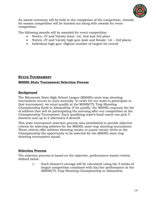

An award ceremony will be held at the completion of the competition. Awards for season competition will be handed out along with awards for event competition.

The following awards will be awarded for event competition:

- Novice, JV and Varsity team: 1st, 2nd and 3rd place
- Novice, JV and Varsity high gun male and female: 1st 3rd places
- Individual high gun: Highest number of targets hit overall

# **STATE TOURNAMENT**

# **MSHSL State Tournament Selection Process**

# **Background**

The Minnesota State High School League (MSHSL) state trap shooting tournament occurs in June annually. In order for our team to participate in that tournament, we must qualify at the MSHSCTL Trap Shooting Championship (held in Alexandria). If we qualify, the MSHSL requests the list of athletes that will be participating the morning after our competition at the Championship Tournament. Each qualifying team's head coach can pick 5 shooters and up to 2 alternates if desired.

This state tournament selection process was established to provide objective criteria for selecting athletes for the MSHSL state trap shooting tournament. These criteria offer athletes shooting varsity or junior varsity levels at the Championship the opportunity to be selected for the MSHSL state trap shooting tournament squad.

# **Selection Process**

The selection process is based on the objective, performance-based criteria defined below.

> 1. Each shooter's average will be calculated using the 5 weeks of league competition combined with his/her performance at the MSHSCTL Trap Shooting Championship in Alexandria.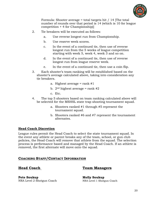

Formula: Shooter average = total targets hit / 14 [The total number of rounds over that period is 14 (which is 10 for league competition + 4 for Championship)]

- 2. Tie breakers will be executed as follows:
	- a. Use reverse longest run from Championship.
	- b. Use reserve week scores.
	- c. In the event of a continued tie, then use of reverse longest run from the 5 weeks of league competition starting with week 5, week 4, week 3 and so on.
	- d. In the event of a continued tie, then use of reverse longest run from league reserve week.
	- e. In the event of a continued tie, then use a coin flip.
- 3. Each shooter's team ranking will be established based on the shooter's average calculated above, taking into consideration any tie breakers.
	- a. Highest average = rank  $#1$
	- b.  $2<sup>nd</sup>$  highest average = rank #2
	- c. Etc.
- 4. The top 5 shooters based on team ranking calculated above will be selected for the MSHSL state trap shooting tournament squad.
	- a. Shooters ranked #1 through #5 represent the tournament squad.
	- b. Shooters ranked #6 and #7 represent the tournament alternates.

# **Head Coach Discretion**

League rules permit the Head Coach to select the state tournament squad. In the event any athlete or parent breaks any of the team, school, or gun club policies, the Head Coach will remove that athlete from the squad. The selection process is performance based and managed by the Head Coach. If an athlete is removed, the first alternate will move onto the squad.

# **COACHING STAFF/CONTACT INFORMATION**

# **Head Coach Team Managers**

**Pete Soukup Molly Soukup** NRA Level 2 Shotgun Coach NRA Level 1 Shotgun Coach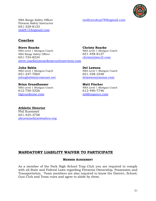

Firearm Safety Instructor 651-329-8133 tmk8133@gmail.com

NRA Range Safety Officer mollysoukup<sup>789@gmail.com</sup>

# **Coaches**

**Steve Roarke**<br> **Steve Roarke**<br> **Stevel 1 Shotgun Coach**<br> **Christy Roarke**<br> **NRA Level 1 Shotgun Coach** NRA Level 1 Shotgun Coach NRA Range Safety Officer 651-458-8127 651-724-8234 [christy@imci2.com](mailto:christy@imci2.com) [steve.roarke@sroarkesecurityservices.com](mailto:steve.roarke@sroarkesecurityservices.com)

NRA Level 1 Shotgun Coach 651-247-7064 651-338-3348 [johngbabin@comcast.net](mailto:johngbabin@comcast.net) [drlawson@mmm.com](mailto:drlawson@mmm.com)

**Brian Grundhauser**<br> **Matt Fischer**<br> **MRA Level 1 Shotgun Coach**<br> **MRA Level 1 Shotgun Coach** 612-750-5326 612-490-7746 [bjgrund@me.com](mailto:bjgrund@me.com) [mbf@eganco.com](mailto:mbf@eganco.com)

**John Babin**<br> **Del Lawson**<br> **Del Lawson**<br> **Del Lawson**<br> **Del Lawson**<br> **Del Lawson** 

NRA Level 1 Shotgun Coach

**Athletic Director** Phil Kuemmel 651-425-3758 [pkuemmel@sowashco.org](mailto:pkuemmel@sowashco.org)

# **MANDATORY LIABILITY WAIVER TO PARTICIPATE**

### **MEMBER AGREEMENT**

As a member of the Park High School Trap Club you are required to comply with all State and Federal Laws regarding Firearms Ownership, Possession and Transportation. Team members are also required to know the District, School, Gun Club and Team rules and agree to abide by them.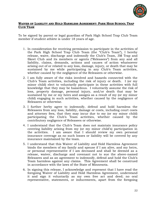

# **WAIVER OF LIABILITY AND HOLD HARMLESS AGREEMENT: PARK HIGH SCHOOL TRAP CLUB TEAM**

To be signed by parent or legal guardian of Park High School Trap Club Team member if student athlete is under 18 years of age.

- 1. In consideration for receiving permission to participate in the activities of the Park High School Trap Club Team (the "Club's Team"), I hereby release, waive, discharge and indemnify the Club's Team, 3M Trap and Skeet Club and its members or agents ("Releasees") from any and all liability, claims, demands, actions and causes of action whatsoever arising out of or related to any loss, damage, injury, or death that may be sustained by me while participating in any Club's Team activities, whether caused by the negligence of the Releasees or otherwise.
- 2. I am fully aware of the risks involved and hazards connected with the Club's Team activities, including the risk of injury or death. I (or my minor child) elect to voluntarily participate in these activities with full knowledge that they may be hazardous. I voluntarily assume the risk of loss, property damage, personal injury, and/or death that may be sustained by me or my heirs and assigns as a result of my (or my minor child) engaging in such activities, whether caused by the negligence of Releasees or otherwise.
- 3. I further herby agree to indemnify, defend and hold harmless the Releasees from any loss, liability, damage or costs, including court costs and attorney fees, that they may incur due to my (or my minor child) participating the Club's Team activities, whether caused by the contributory negligence of Releasees or otherwise.
- 4. I understand that the Club's Team does not maintain insurance policy covering liability arising from my (or my minor child's) participation in the activities. I am aware that I should review my own personal insurance coverage as no such losses or liability will be covered by any insurance maintained by the team.
- 5. I understand that this Waiver of Liability and Hold Harmless Agreement binds the members of my family and spouse if I am alive, and my heirs, or personal representative if I am deceased and shall be deemed as a release, waiver, discharge and covenant not to sue the above-named Releasees and as an agreement to indemnify, defend and hold the Club's Team harmless against any claims. This Agreement shall be construed in accordance with the laws of the State of Minnesota.
- 6. In signing this release, I acknowledge and represent that I have read the foregoing Waiver of Liability and Hold Harmless Agreement, understand it and sign it voluntarily as my own free act and deed; no oral representative, statements, or inducements, apart from the foregoing